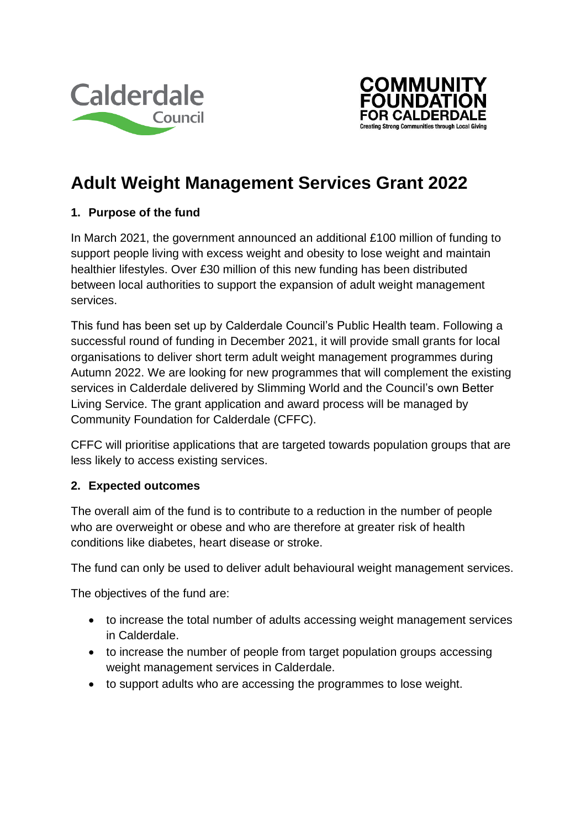



# **Adult Weight Management Services Grant 2022**

## **1. Purpose of the fund**

In March 2021, the government announced an additional £100 million of funding to support people living with excess weight and obesity to lose weight and maintain healthier lifestyles. Over £30 million of this new funding has been distributed between local authorities to support the expansion of adult weight management services.

This fund has been set up by Calderdale Council's Public Health team. Following a successful round of funding in December 2021, it will provide small grants for local organisations to deliver short term adult weight management programmes during Autumn 2022. We are looking for new programmes that will complement the existing services in Calderdale delivered by Slimming World and the Council's own Better Living Service. The grant application and award process will be managed by Community Foundation for Calderdale (CFFC).

CFFC will prioritise applications that are targeted towards population groups that are less likely to access existing services.

#### **2. Expected outcomes**

The overall aim of the fund is to contribute to a reduction in the number of people who are overweight or obese and who are therefore at greater risk of health conditions like diabetes, heart disease or stroke.

The fund can only be used to deliver adult behavioural weight management services.

The objectives of the fund are:

- to increase the total number of adults accessing weight management services in Calderdale.
- to increase the number of people from target population groups accessing weight management services in Calderdale.
- to support adults who are accessing the programmes to lose weight.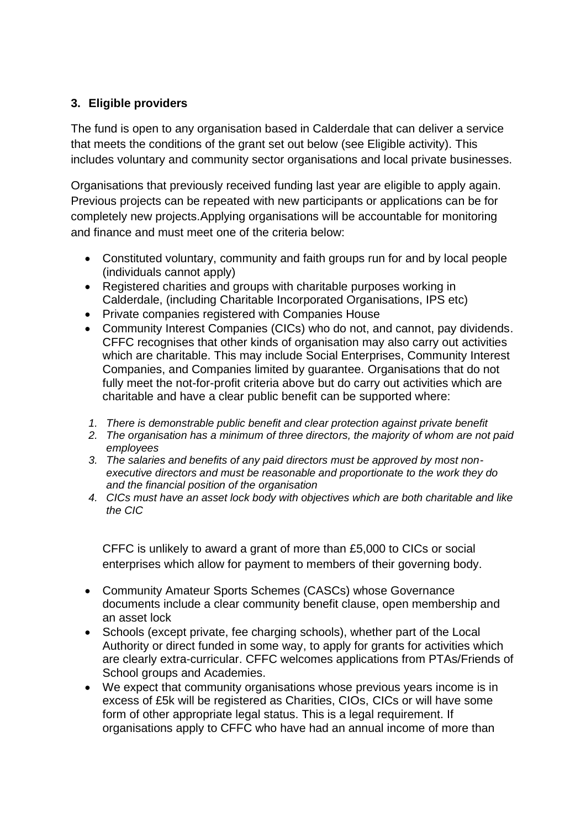# **3. Eligible providers**

The fund is open to any organisation based in Calderdale that can deliver a service that meets the conditions of the grant set out below (see Eligible activity). This includes voluntary and community sector organisations and local private businesses.

Organisations that previously received funding last year are eligible to apply again. Previous projects can be repeated with new participants or applications can be for completely new projects.Applying organisations will be accountable for monitoring and finance and must meet one of the criteria below:

- Constituted voluntary, community and faith groups run for and by local people (individuals cannot apply)
- Registered charities and groups with charitable purposes working in Calderdale, (including Charitable Incorporated Organisations, IPS etc)
- Private companies registered with Companies House
- Community Interest Companies (CICs) who do not, and cannot, pay dividends. CFFC recognises that other kinds of organisation may also carry out activities which are charitable. This may include Social Enterprises, Community Interest Companies, and Companies limited by guarantee. Organisations that do not fully meet the not-for-profit criteria above but do carry out activities which are charitable and have a clear public benefit can be supported where:
- *1. There is demonstrable public benefit and clear protection against private benefit*
- *2. The organisation has a minimum of three directors, the majority of whom are not paid employees*
- *3. The salaries and benefits of any paid directors must be approved by most nonexecutive directors and must be reasonable and proportionate to the work they do and the financial position of the organisation*
- *4. CICs must have an asset lock body with objectives which are both charitable and like the CIC*

CFFC is unlikely to award a grant of more than £5,000 to CICs or social enterprises which allow for payment to members of their governing body.

- Community Amateur Sports Schemes (CASCs) whose Governance documents include a clear community benefit clause, open membership and an asset lock
- Schools (except private, fee charging schools), whether part of the Local Authority or direct funded in some way, to apply for grants for activities which are clearly extra-curricular. CFFC welcomes applications from PTAs/Friends of School groups and Academies.
- We expect that community organisations whose previous years income is in excess of £5k will be registered as Charities, CIOs, CICs or will have some form of other appropriate legal status. This is a legal requirement. If organisations apply to CFFC who have had an annual income of more than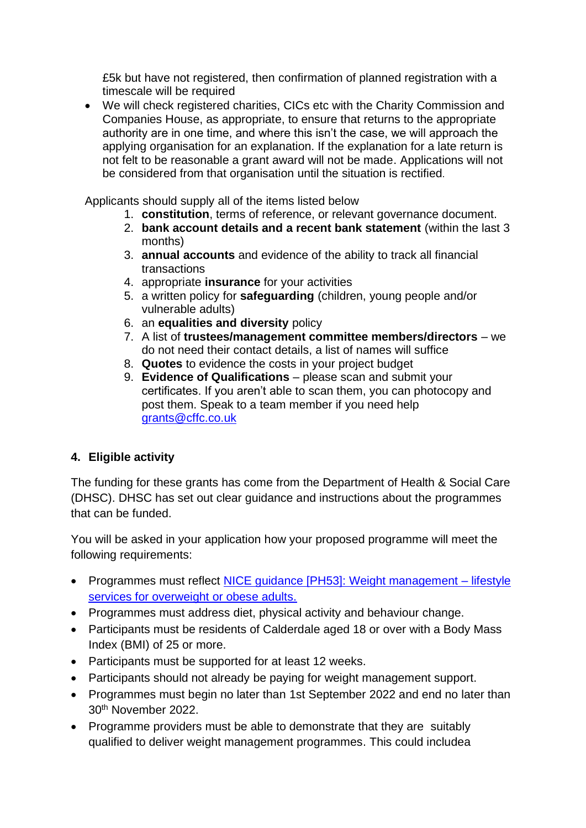£5k but have not registered, then confirmation of planned registration with a timescale will be required

• We will check registered charities, CICs etc with the Charity Commission and Companies House, as appropriate, to ensure that returns to the appropriate authority are in one time, and where this isn't the case, we will approach the applying organisation for an explanation. If the explanation for a late return is not felt to be reasonable a grant award will not be made. Applications will not be considered from that organisation until the situation is rectified*.*

Applicants should supply all of the items listed below

- 1. **constitution**, terms of reference, or relevant governance document.
- 2. **bank account details and a recent bank statement** (within the last 3 months)
- 3. **annual accounts** and evidence of the ability to track all financial transactions
- 4. appropriate **insurance** for your activities
- 5. a written policy for **safeguarding** (children, young people and/or vulnerable adults)
- 6. an **equalities and diversity** policy
- 7. A list of **trustees/management committee members/directors** we do not need their contact details, a list of names will suffice
- 8. **Quotes** to evidence the costs in your project budget
- 9. **Evidence of Qualifications** please scan and submit your certificates. If you aren't able to scan them, you can photocopy and post them. Speak to a team member if you need help [grants@cffc.co.uk](mailto:grants@cffc.co.uk)

# **4. Eligible activity**

The funding for these grants has come from the Department of Health & Social Care (DHSC). DHSC has set out clear guidance and instructions about the programmes that can be funded.

You will be asked in your application how your proposed programme will meet the following requirements:

- Programmes must reflect [NICE guidance \[PH53\]: Weight management –](https://www.nice.org.uk/guidance/ph53) lifestyle [services for overweight or obese adults.](https://www.nice.org.uk/guidance/ph53)
- Programmes must address diet, physical activity and behaviour change.
- Participants must be residents of Calderdale aged 18 or over with a Body Mass Index (BMI) of 25 or more.
- Participants must be supported for at least 12 weeks.
- Participants should not already be paying for weight management support.
- Programmes must begin no later than 1st September 2022 and end no later than 30th November 2022.
- Programme providers must be able to demonstrate that they are suitably qualified to deliver weight management programmes. This could includea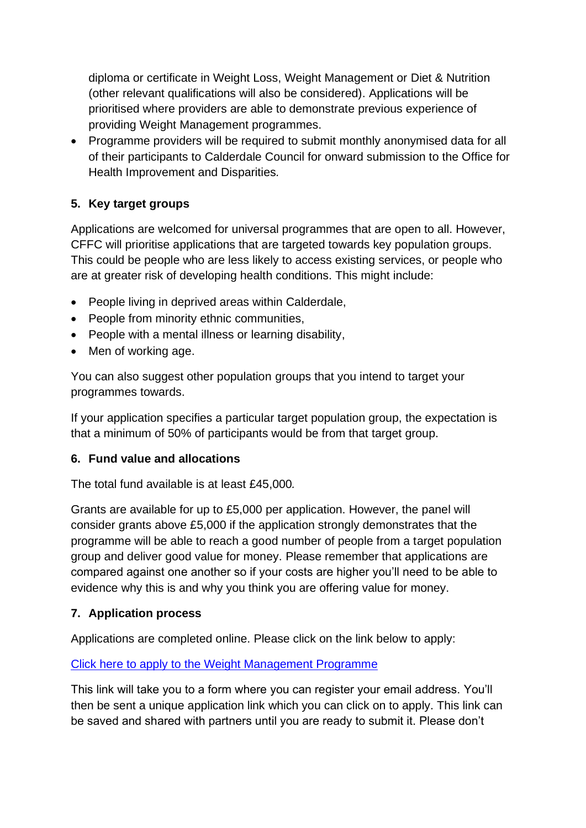diploma or certificate in Weight Loss, Weight Management or Diet & Nutrition (other relevant qualifications will also be considered). Applications will be prioritised where providers are able to demonstrate previous experience of providing Weight Management programmes.

• Programme providers will be required to submit monthly anonymised data for all of their participants to Calderdale Council for onward submission to the Office for Health Improvement and Disparities*.*

# **5. Key target groups**

Applications are welcomed for universal programmes that are open to all. However, CFFC will prioritise applications that are targeted towards key population groups. This could be people who are less likely to access existing services, or people who are at greater risk of developing health conditions. This might include:

- People living in deprived areas within Calderdale,
- People from minority ethnic communities,
- People with a mental illness or learning disability,
- Men of working age.

You can also suggest other population groups that you intend to target your programmes towards.

If your application specifies a particular target population group, the expectation is that a minimum of 50% of participants would be from that target group.

#### **6. Fund value and allocations**

The total fund available is at least £45,000*.*

Grants are available for up to £5,000 per application. However, the panel will consider grants above £5,000 if the application strongly demonstrates that the programme will be able to reach a good number of people from a target population group and deliver good value for money. Please remember that applications are compared against one another so if your costs are higher you'll need to be able to evidence why this is and why you think you are offering value for money.

#### **7. Application process**

Applications are completed online. Please click on the link below to apply:

#### [Click here to apply to the Weight Management Programme](https://ukcf.secure.force.com/forms/Generalover1500/AdultWeightManagementProgrammesgrantsforCalderdale)

This link will take you to a form where you can register your email address. You'll then be sent a unique application link which you can click on to apply. This link can be saved and shared with partners until you are ready to submit it. Please don't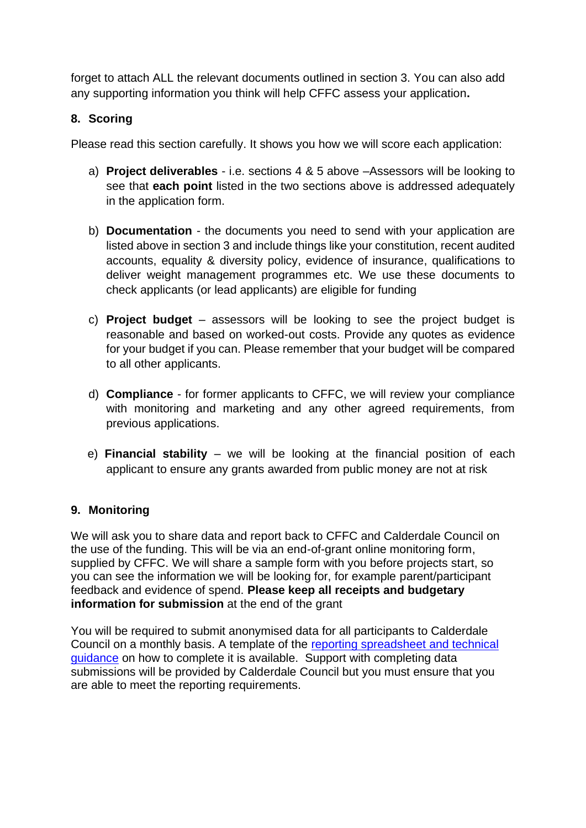forget to attach ALL the relevant documents outlined in section 3. You can also add any supporting information you think will help CFFC assess your application**.**

## **8. Scoring**

Please read this section carefully. It shows you how we will score each application:

- a) **Project deliverables** i.e. sections 4 & 5 above –Assessors will be looking to see that **each point** listed in the two sections above is addressed adequately in the application form.
- b) **Documentation** the documents you need to send with your application are listed above in section 3 and include things like your constitution, recent audited accounts, equality & diversity policy, evidence of insurance, qualifications to deliver weight management programmes etc. We use these documents to check applicants (or lead applicants) are eligible for funding
- c) **Project budget** assessors will be looking to see the project budget is reasonable and based on worked-out costs. Provide any quotes as evidence for your budget if you can. Please remember that your budget will be compared to all other applicants.
- d) **Compliance** for former applicants to CFFC, we will review your compliance with monitoring and marketing and any other agreed requirements, from previous applications.
- e) **Financial stability** we will be looking at the financial position of each applicant to ensure any grants awarded from public money are not at risk

#### **9. Monitoring**

We will ask you to share data and report back to CFFC and Calderdale Council on the use of the funding. This will be via an end-of-grant online monitoring form, supplied by CFFC. We will share a sample form with you before projects start, so you can see the information we will be looking for, for example parent/participant feedback and evidence of spend. **Please keep all receipts and budgetary information for submission** at the end of the grant

You will be required to submit anonymised data for all participants to Calderdale Council on a monthly basis. A template of the [reporting spreadsheet and technical](https://www.gov.uk/government/publications/adult-weight-management-services-collect-and-record-data)  [guidance](https://www.gov.uk/government/publications/adult-weight-management-services-collect-and-record-data) on how to complete it is available. Support with completing data submissions will be provided by Calderdale Council but you must ensure that you are able to meet the reporting requirements.